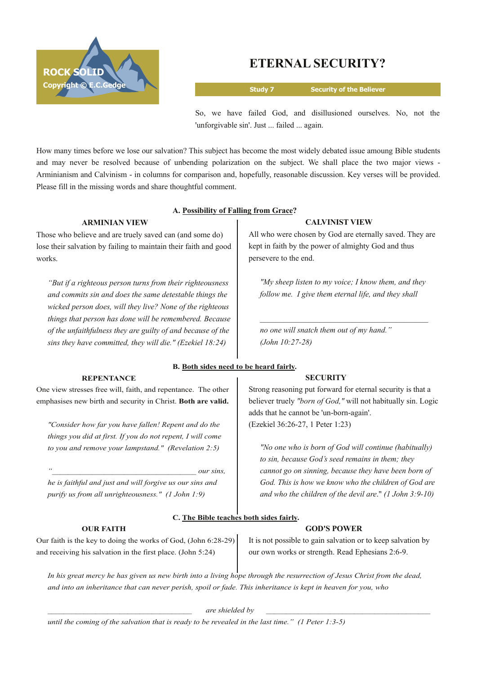

# **ETERNAL SECURITY?**

**Study 7 Security of the Believer**

So, we have failed God, and disillusioned ourselves. No, not the 'unforgivable sin'. Just ... failed ... again.

How many times before we lose our salvation? This subject has become the most widely debated issue amoung Bible students and may never be resolved because of unbending polarization on the subject. We shall place the two major views Arminianism and Calvinism - in columns for comparison and, hopefully, reasonable discussion. Key verses will be provided. Please fill in the missing words and share thoughtful comment.

## **A. Possibility of Falling from Grace?**

### **ARMINIAN VIEW**

Those who believe and are truely saved can (and some do) lose their salvation by failing to maintain their faith and good works.

*"But if a righteous person turns from their righteousness and commits sin and does the same detestable things the wicked person does, will they live? None of the righteous things that person has done will be remembered. Because of the unfaithfulness they are guilty of and because of the sins they have committed, they will die." (Ezekiel 18:24)*

#### **REPENTANCE**

One view stresses free will, faith, and repentance. The other emphasises new birth and security in Christ. **Both are valid.**

*"Consider how far you have fallen! Repent and do the things you did at first. If you do not repent, I will come to you and remove your lampstand." (Revelation 2:5)*

*he is faithful and just and will forgive us our sins and purify us from all unrighteousness." (1 John 1:9)*

#### **OUR FAITH**

All who were chosen by God are eternally saved. They are kept in faith by the power of almighty God and thus persevere to the end.

**CALVINIST VIEW**

*"My sheep listen to my voice; I know them, and they follow me. I give them eternal life, and they shall*

*no one will snatch them out of my hand." (John 10:27-28)* 

#### **B. Both sides need to be heard fairly.**

#### **SECURITY**

Strong reasoning put forward for eternal security is that a believer truely *"born of God,"* will not habitually sin. Logic adds that he cannot be 'un-born-again'. (Ezekiel 36:2627, 1 Peter 1:23)

*"No one who is born of God will continue (habitually) to sin, because God's seed remains in them; they cannot go on sinning, because they have been born of God. This is how we know who the children of God are and who the children of the devil are*." *(1 John 3:910)*

## **C. The Bible teaches both sides fairly.**

 $our \, sins,$ 

#### **GOD'S POWER**

Our faith is the key to doing the works of God, (John 6:28-29) and receiving his salvation in the first place. (John 5:24)

It is not possible to gain salvation or to keep salvation by our own works or strength. Read Ephesians 2:6-9.

In his great mercy he has given us new birth into a living hope through the resurrection of Jesus Christ from the dead, and into an inheritance that can never perish, spoil or fade. This inheritance is kept in heaven for you, who

*\_\_\_\_\_\_\_\_\_\_\_\_\_\_\_\_\_\_\_\_\_\_\_\_\_\_\_\_\_\_\_\_\_\_\_\_ are shielded by \_\_\_\_\_\_\_\_\_\_\_\_\_\_\_\_\_\_\_\_\_\_\_\_\_\_\_\_\_\_\_\_\_\_\_\_\_\_\_\_\_*

until the coming of the salvation that is ready to be revealed in the last time." (1 Peter 1:3-5)